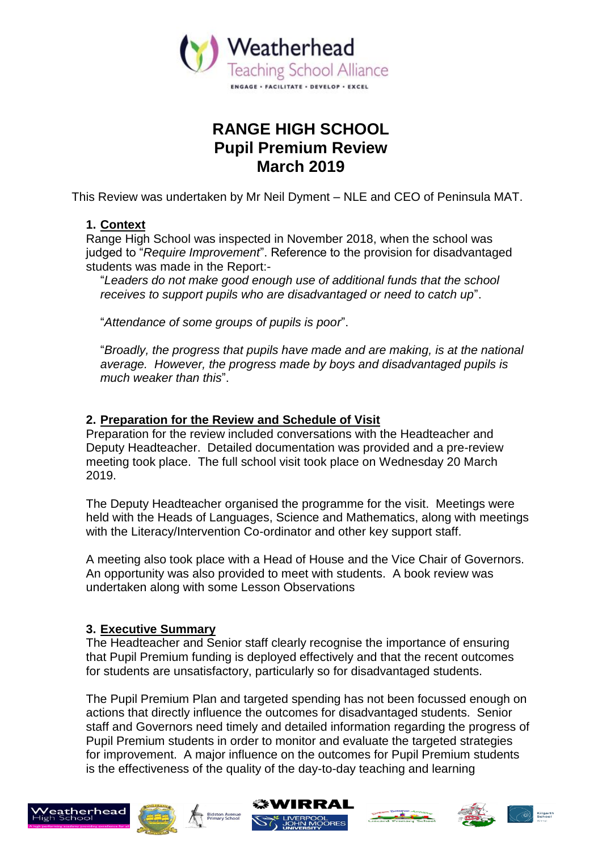

# **RANGE HIGH SCHOOL Pupil Premium Review March 2019**

This Review was undertaken by Mr Neil Dyment – NLE and CEO of Peninsula MAT.

# **1. Context**

Range High School was inspected in November 2018, when the school was judged to "*Require Improvement*". Reference to the provision for disadvantaged students was made in the Report:-

"*Leaders do not make good enough use of additional funds that the school receives to support pupils who are disadvantaged or need to catch up*".

"*Attendance of some groups of pupils is poor*".

"*Broadly, the progress that pupils have made and are making, is at the national average. However, the progress made by boys and disadvantaged pupils is much weaker than this*".

# **2. Preparation for the Review and Schedule of Visit**

Preparation for the review included conversations with the Headteacher and Deputy Headteacher. Detailed documentation was provided and a pre-review meeting took place. The full school visit took place on Wednesday 20 March 2019.

The Deputy Headteacher organised the programme for the visit. Meetings were held with the Heads of Languages, Science and Mathematics, along with meetings with the Literacy/Intervention Co-ordinator and other key support staff.

A meeting also took place with a Head of House and the Vice Chair of Governors. An opportunity was also provided to meet with students. A book review was undertaken along with some Lesson Observations

# **3. Executive Summary**

The Headteacher and Senior staff clearly recognise the importance of ensuring that Pupil Premium funding is deployed effectively and that the recent outcomes for students are unsatisfactory, particularly so for disadvantaged students.

The Pupil Premium Plan and targeted spending has not been focussed enough on actions that directly influence the outcomes for disadvantaged students. Senior staff and Governors need timely and detailed information regarding the progress of Pupil Premium students in order to monitor and evaluate the targeted strategies for improvement. A major influence on the outcomes for Pupil Premium students is the effectiveness of the quality of the day-to-day teaching and learning











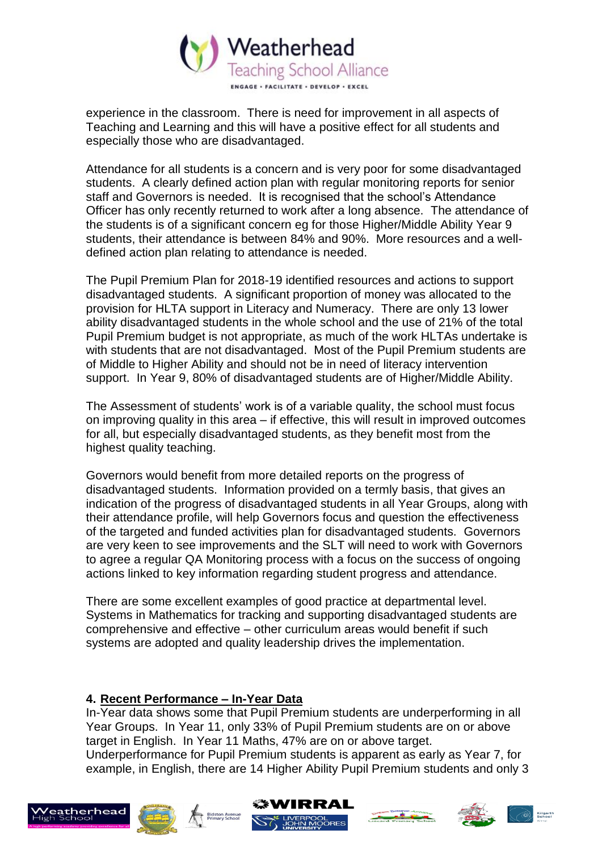

experience in the classroom. There is need for improvement in all aspects of Teaching and Learning and this will have a positive effect for all students and especially those who are disadvantaged.

Attendance for all students is a concern and is very poor for some disadvantaged students. A clearly defined action plan with regular monitoring reports for senior staff and Governors is needed. It is recognised that the school's Attendance Officer has only recently returned to work after a long absence. The attendance of the students is of a significant concern eg for those Higher/Middle Ability Year 9 students, their attendance is between 84% and 90%. More resources and a welldefined action plan relating to attendance is needed.

The Pupil Premium Plan for 2018-19 identified resources and actions to support disadvantaged students. A significant proportion of money was allocated to the provision for HLTA support in Literacy and Numeracy. There are only 13 lower ability disadvantaged students in the whole school and the use of 21% of the total Pupil Premium budget is not appropriate, as much of the work HLTAs undertake is with students that are not disadvantaged. Most of the Pupil Premium students are of Middle to Higher Ability and should not be in need of literacy intervention support. In Year 9, 80% of disadvantaged students are of Higher/Middle Ability.

The Assessment of students' work is of a variable quality, the school must focus on improving quality in this area – if effective, this will result in improved outcomes for all, but especially disadvantaged students, as they benefit most from the highest quality teaching.

Governors would benefit from more detailed reports on the progress of disadvantaged students. Information provided on a termly basis, that gives an indication of the progress of disadvantaged students in all Year Groups, along with their attendance profile, will help Governors focus and question the effectiveness of the targeted and funded activities plan for disadvantaged students. Governors are very keen to see improvements and the SLT will need to work with Governors to agree a regular QA Monitoring process with a focus on the success of ongoing actions linked to key information regarding student progress and attendance.

There are some excellent examples of good practice at departmental level. Systems in Mathematics for tracking and supporting disadvantaged students are comprehensive and effective – other curriculum areas would benefit if such systems are adopted and quality leadership drives the implementation.

## **4. Recent Performance – In-Year Data**

In-Year data shows some that Pupil Premium students are underperforming in all Year Groups. In Year 11, only 33% of Pupil Premium students are on or above target in English. In Year 11 Maths, 47% are on or above target. Underperformance for Pupil Premium students is apparent as early as Year 7, for example, in English, there are 14 Higher Ability Pupil Premium students and only 3











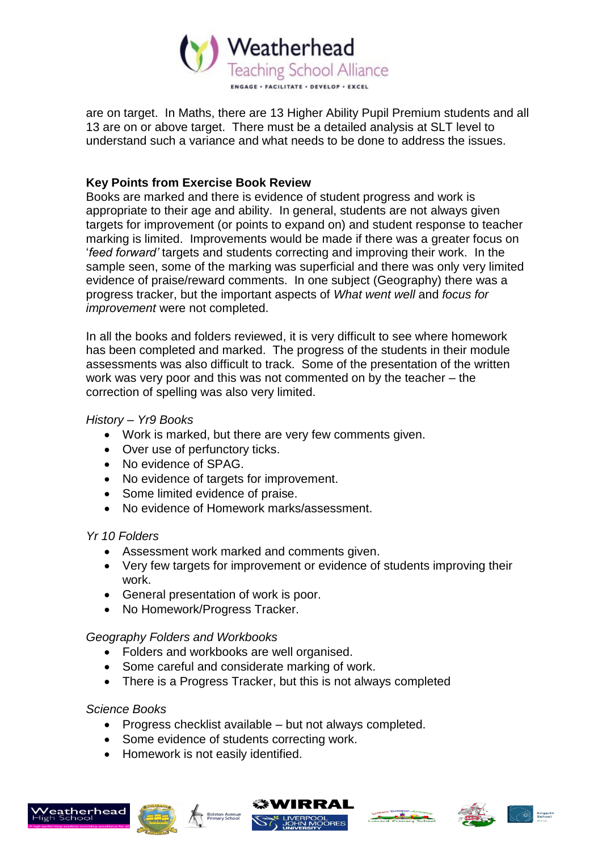

are on target. In Maths, there are 13 Higher Ability Pupil Premium students and all 13 are on or above target. There must be a detailed analysis at SLT level to understand such a variance and what needs to be done to address the issues.

## **Key Points from Exercise Book Review**

Books are marked and there is evidence of student progress and work is appropriate to their age and ability. In general, students are not always given targets for improvement (or points to expand on) and student response to teacher marking is limited. Improvements would be made if there was a greater focus on '*feed forward'* targets and students correcting and improving their work. In the sample seen, some of the marking was superficial and there was only very limited evidence of praise/reward comments. In one subject (Geography) there was a progress tracker, but the important aspects of *What went well* and *focus for improvement* were not completed.

In all the books and folders reviewed, it is very difficult to see where homework has been completed and marked. The progress of the students in their module assessments was also difficult to track. Some of the presentation of the written work was very poor and this was not commented on by the teacher – the correction of spelling was also very limited.

## *History – Yr9 Books*

- Work is marked, but there are very few comments given.
- Over use of perfunctory ticks.
- No evidence of SPAG.
- No evidence of targets for improvement.
- Some limited evidence of praise.
- No evidence of Homework marks/assessment.

#### *Yr 10 Folders*

- Assessment work marked and comments given.
- Very few targets for improvement or evidence of students improving their work.
- General presentation of work is poor.
- No Homework/Progress Tracker.

# *Geography Folders and Workbooks*

- Folders and workbooks are well organised.
- Some careful and considerate marking of work.
- There is a Progress Tracker, but this is not always completed

#### *Science Books*

- Progress checklist available but not always completed.
- Some evidence of students correcting work.
- Homework is not easily identified.









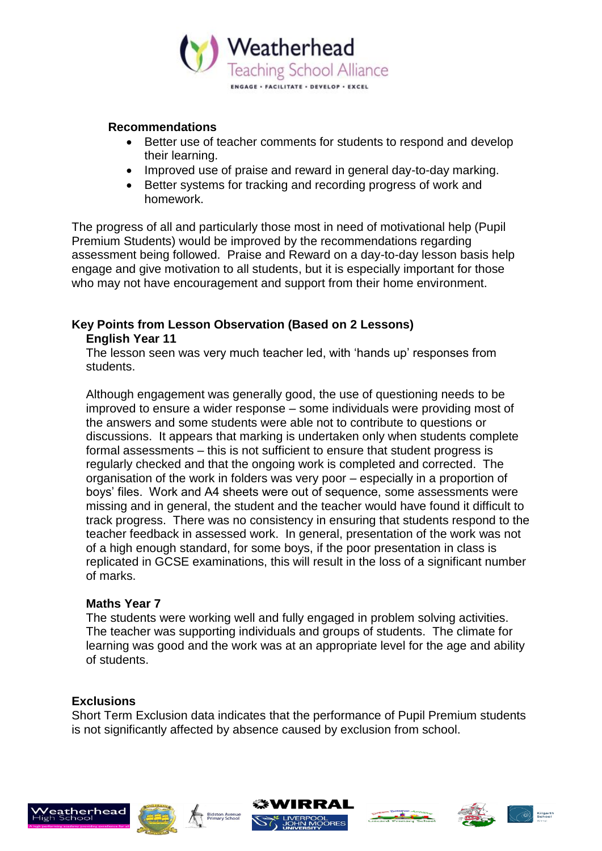

#### **Recommendations**

- Better use of teacher comments for students to respond and develop their learning.
- Improved use of praise and reward in general day-to-day marking.
- Better systems for tracking and recording progress of work and homework.

The progress of all and particularly those most in need of motivational help (Pupil Premium Students) would be improved by the recommendations regarding assessment being followed. Praise and Reward on a day-to-day lesson basis help engage and give motivation to all students, but it is especially important for those who may not have encouragement and support from their home environment.

## **Key Points from Lesson Observation (Based on 2 Lessons) English Year 11**

The lesson seen was very much teacher led, with 'hands up' responses from students.

Although engagement was generally good, the use of questioning needs to be improved to ensure a wider response – some individuals were providing most of the answers and some students were able not to contribute to questions or discussions. It appears that marking is undertaken only when students complete formal assessments – this is not sufficient to ensure that student progress is regularly checked and that the ongoing work is completed and corrected. The organisation of the work in folders was very poor – especially in a proportion of boys' files. Work and A4 sheets were out of sequence, some assessments were missing and in general, the student and the teacher would have found it difficult to track progress. There was no consistency in ensuring that students respond to the teacher feedback in assessed work. In general, presentation of the work was not of a high enough standard, for some boys, if the poor presentation in class is replicated in GCSE examinations, this will result in the loss of a significant number of marks.

#### **Maths Year 7**

The students were working well and fully engaged in problem solving activities. The teacher was supporting individuals and groups of students. The climate for learning was good and the work was at an appropriate level for the age and ability of students.

#### **Exclusions**

Short Term Exclusion data indicates that the performance of Pupil Premium students is not significantly affected by absence caused by exclusion from school.











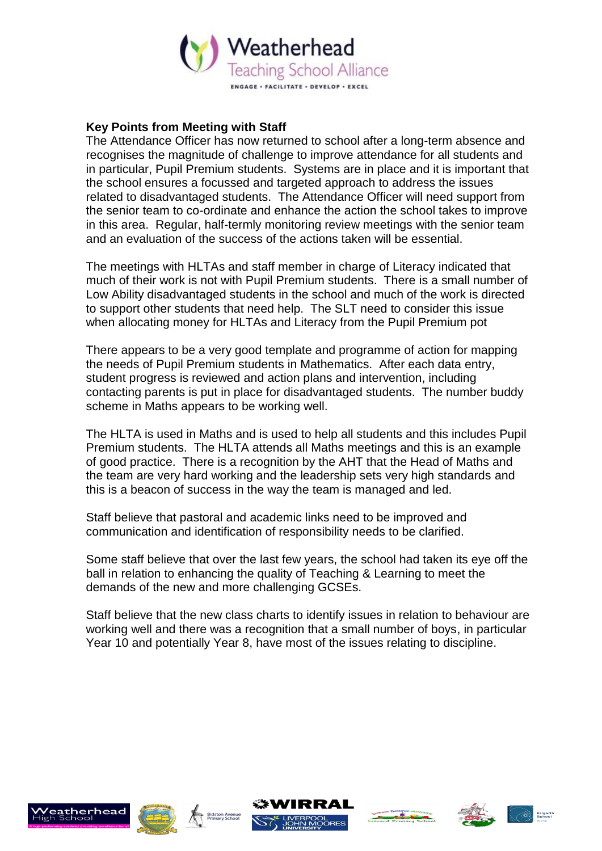

### **Key Points from Meeting with Staff**

The Attendance Officer has now returned to school after a long-term absence and recognises the magnitude of challenge to improve attendance for all students and in particular, Pupil Premium students. Systems are in place and it is important that the school ensures a focussed and targeted approach to address the issues related to disadvantaged students. The Attendance Officer will need support from the senior team to co-ordinate and enhance the action the school takes to improve in this area. Regular, half-termly monitoring review meetings with the senior team and an evaluation of the success of the actions taken will be essential.

The meetings with HLTAs and staff member in charge of Literacy indicated that much of their work is not with Pupil Premium students. There is a small number of Low Ability disadvantaged students in the school and much of the work is directed to support other students that need help. The SLT need to consider this issue when allocating money for HLTAs and Literacy from the Pupil Premium pot

There appears to be a very good template and programme of action for mapping the needs of Pupil Premium students in Mathematics. After each data entry, student progress is reviewed and action plans and intervention, including contacting parents is put in place for disadvantaged students. The number buddy scheme in Maths appears to be working well.

The HLTA is used in Maths and is used to help all students and this includes Pupil Premium students. The HLTA attends all Maths meetings and this is an example of good practice. There is a recognition by the AHT that the Head of Maths and the team are very hard working and the leadership sets very high standards and this is a beacon of success in the way the team is managed and led.

Staff believe that pastoral and academic links need to be improved and communication and identification of responsibility needs to be clarified.

Some staff believe that over the last few years, the school had taken its eye off the ball in relation to enhancing the quality of Teaching & Learning to meet the demands of the new and more challenging GCSEs.

Staff believe that the new class charts to identify issues in relation to behaviour are working well and there was a recognition that a small number of boys, in particular Year 10 and potentially Year 8, have most of the issues relating to discipline.